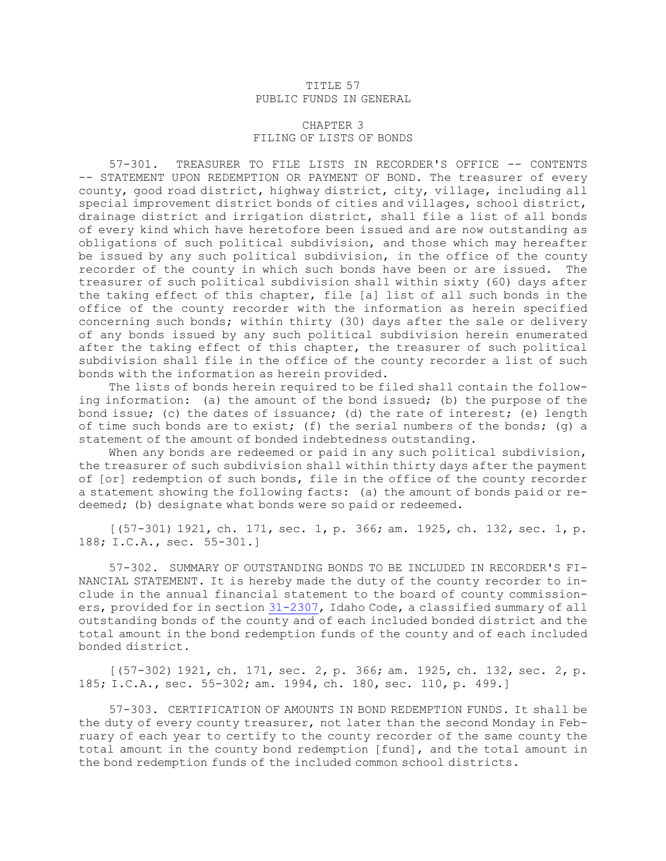## TITLE 57 PUBLIC FUNDS IN GENERAL

## CHAPTER 3 FILING OF LISTS OF BONDS

57-301. TREASURER TO FILE LISTS IN RECORDER'S OFFICE -- CONTENTS -- STATEMENT UPON REDEMPTION OR PAYMENT OF BOND. The treasurer of every county, good road district, highway district, city, village, including all special improvement district bonds of cities and villages, school district, drainage district and irrigation district, shall file <sup>a</sup> list of all bonds of every kind which have heretofore been issued and are now outstanding as obligations of such political subdivision, and those which may hereafter be issued by any such political subdivision, in the office of the county recorder of the county in which such bonds have been or are issued. The treasurer of such political subdivision shall within sixty (60) days after the taking effect of this chapter, file [a] list of all such bonds in the office of the county recorder with the information as herein specified concerning such bonds; within thirty (30) days after the sale or delivery of any bonds issued by any such political subdivision herein enumerated after the taking effect of this chapter, the treasurer of such political subdivision shall file in the office of the county recorder <sup>a</sup> list of such bonds with the information as herein provided.

The lists of bonds herein required to be filed shall contain the following information: (a) the amount of the bond issued; (b) the purpose of the bond issue; (c) the dates of issuance; (d) the rate of interest; (e) length of time such bonds are to exist; (f) the serial numbers of the bonds; (q) a statement of the amount of bonded indebtedness outstanding.

When any bonds are redeemed or paid in any such political subdivision, the treasurer of such subdivision shall within thirty days after the payment of [or] redemption of such bonds, file in the office of the county recorder <sup>a</sup> statement showing the following facts: (a) the amount of bonds paid or redeemed; (b) designate what bonds were so paid or redeemed.

[(57-301) 1921, ch. 171, sec. 1, p. 366; am. 1925, ch. 132, sec. 1, p. 188; I.C.A., sec. 55-301.]

57-302. SUMMARY OF OUTSTANDING BONDS TO BE INCLUDED IN RECORDER'S FI-NANCIAL STATEMENT. It is hereby made the duty of the county recorder to include in the annual financial statement to the board of county commissioners, provided for in section [31-2307](https://legislature.idaho.gov/statutesrules/idstat/Title31/T31CH23/SECT31-2307), Idaho Code, <sup>a</sup> classified summary of all outstanding bonds of the county and of each included bonded district and the total amount in the bond redemption funds of the county and of each included bonded district.

[(57-302) 1921, ch. 171, sec. 2, p. 366; am. 1925, ch. 132, sec. 2, p. 185; I.C.A., sec. 55-302; am. 1994, ch. 180, sec. 110, p. 499.]

57-303. CERTIFICATION OF AMOUNTS IN BOND REDEMPTION FUNDS. It shall be the duty of every county treasurer, not later than the second Monday in February of each year to certify to the county recorder of the same county the total amount in the county bond redemption [fund], and the total amount in the bond redemption funds of the included common school districts.